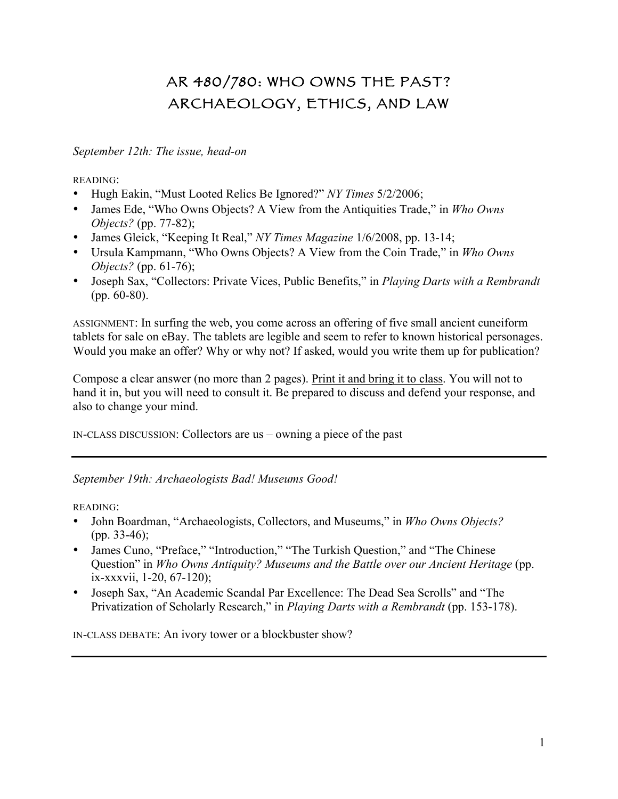# AR 480/780: WHO OWNS THE PAST? ARCHAEOLOGY, ETHICS, AND LAW

## *September 12th: The issue, head-on*

READING:

- Hugh Eakin, "Must Looted Relics Be Ignored?" *NY Times* 5/2/2006;
- James Ede, "Who Owns Objects? A View from the Antiquities Trade," in *Who Owns Objects?* (pp. 77-82);
- James Gleick, "Keeping It Real," *NY Times Magazine* 1/6/2008, pp. 13-14;
- Ursula Kampmann, "Who Owns Objects? A View from the Coin Trade," in *Who Owns Objects?* (pp. 61-76);
- Joseph Sax, "Collectors: Private Vices, Public Benefits," in *Playing Darts with a Rembrandt* (pp. 60-80).

ASSIGNMENT: In surfing the web, you come across an offering of five small ancient cuneiform tablets for sale on eBay. The tablets are legible and seem to refer to known historical personages. Would you make an offer? Why or why not? If asked, would you write them up for publication?

Compose a clear answer (no more than 2 pages). Print it and bring it to class. You will not to hand it in, but you will need to consult it. Be prepared to discuss and defend your response, and also to change your mind.

IN-CLASS DISCUSSION: Collectors are us – owning a piece of the past

*September 19th: Archaeologists Bad! Museums Good!*

READING:

- John Boardman, "Archaeologists, Collectors, and Museums," in *Who Owns Objects?* (pp. 33-46);
- James Cuno, "Preface," "Introduction," "The Turkish Question," and "The Chinese" Question" in *Who Owns Antiquity? Museums and the Battle over our Ancient Heritage* (pp. ix-xxxvii, 1-20, 67-120);
- Joseph Sax, "An Academic Scandal Par Excellence: The Dead Sea Scrolls" and "The Privatization of Scholarly Research," in *Playing Darts with a Rembrandt* (pp. 153-178).

IN-CLASS DEBATE: An ivory tower or a blockbuster show?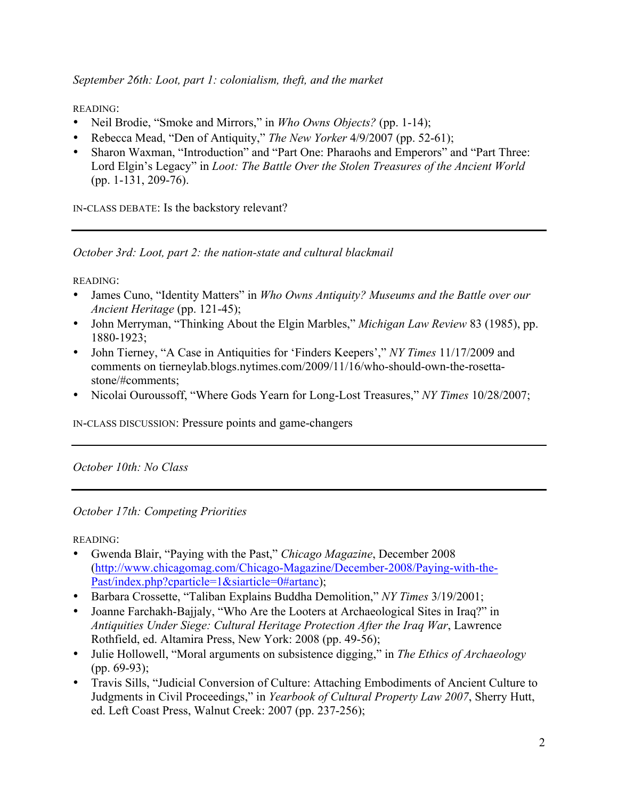*September 26th: Loot, part 1: colonialism, theft, and the market*

READING:

- Neil Brodie, "Smoke and Mirrors," in *Who Owns Objects?* (pp. 1-14);
- Rebecca Mead, "Den of Antiquity," *The New Yorker* 4/9/2007 (pp. 52-61);
- Sharon Waxman, "Introduction" and "Part One: Pharaohs and Emperors" and "Part Three: Lord Elgin's Legacy" in *Loot: The Battle Over the Stolen Treasures of the Ancient World* (pp. 1-131, 209-76).

IN-CLASS DEBATE: Is the backstory relevant?

*October 3rd: Loot, part 2: the nation-state and cultural blackmail*

READING:

- James Cuno, "Identity Matters" in *Who Owns Antiquity? Museums and the Battle over our Ancient Heritage* (pp. 121-45);
- John Merryman, "Thinking About the Elgin Marbles," *Michigan Law Review* 83 (1985), pp. 1880-1923;
- John Tierney, "A Case in Antiquities for 'Finders Keepers'," *NY Times* 11/17/2009 and comments on tierneylab.blogs.nytimes.com/2009/11/16/who-should-own-the-rosettastone/#comments;
- Nicolai Ouroussoff, "Where Gods Yearn for Long-Lost Treasures," *NY Times* 10/28/2007;

IN-CLASS DISCUSSION: Pressure points and game-changers

*October 10th: No Class*

*October 17th: Competing Priorities*

READING:

- Gwenda Blair, "Paying with the Past," *Chicago Magazine*, December 2008 (http://www.chicagomag.com/Chicago-Magazine/December-2008/Paying-with-the-Past/index.php?cparticle=1&siarticle=0#artanc);
- Barbara Crossette, "Taliban Explains Buddha Demolition," *NY Times* 3/19/2001;
- Joanne Farchakh-Bajjaly, "Who Are the Looters at Archaeological Sites in Iraq?" in *Antiquities Under Siege: Cultural Heritage Protection After the Iraq War*, Lawrence Rothfield, ed. Altamira Press, New York: 2008 (pp. 49-56);
- Julie Hollowell, "Moral arguments on subsistence digging," in *The Ethics of Archaeology* (pp. 69-93);
- Travis Sills, "Judicial Conversion of Culture: Attaching Embodiments of Ancient Culture to Judgments in Civil Proceedings," in *Yearbook of Cultural Property Law 2007*, Sherry Hutt, ed. Left Coast Press, Walnut Creek: 2007 (pp. 237-256);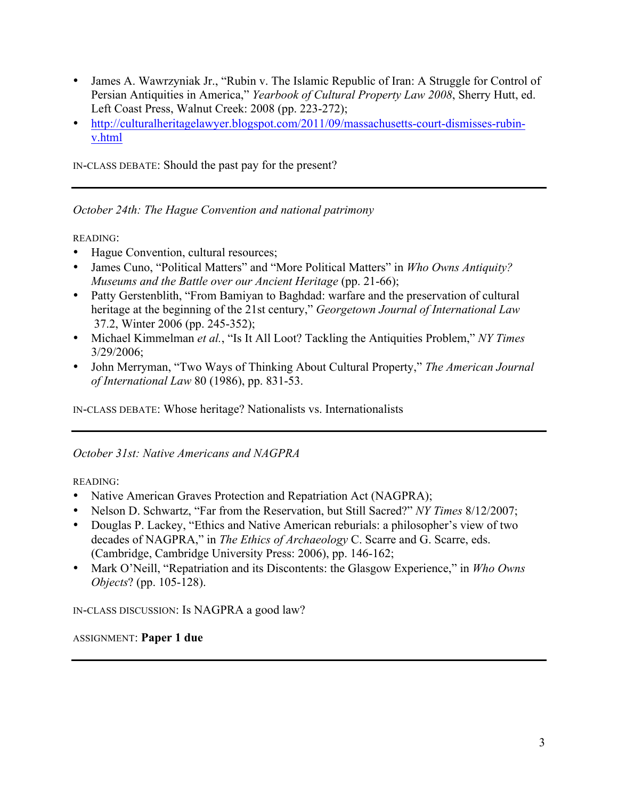- James A. Wawrzyniak Jr., "Rubin v. The Islamic Republic of Iran: A Struggle for Control of Persian Antiquities in America," *Yearbook of Cultural Property Law 2008*, Sherry Hutt, ed. Left Coast Press, Walnut Creek: 2008 (pp. 223-272);
- http://culturalheritagelawyer.blogspot.com/2011/09/massachusetts-court-dismisses-rubinv.html

IN-CLASS DEBATE: Should the past pay for the present?

*October 24th: The Hague Convention and national patrimony*

READING:

- Hague Convention, cultural resources;
- James Cuno, "Political Matters" and "More Political Matters" in *Who Owns Antiquity? Museums and the Battle over our Ancient Heritage* (pp. 21-66);
- Patty Gerstenblith, "From Bamiyan to Baghdad: warfare and the preservation of cultural heritage at the beginning of the 21st century," *Georgetown Journal of International Law*  37.2, Winter 2006 (pp. 245-352);
- Michael Kimmelman *et al.*, "Is It All Loot? Tackling the Antiquities Problem," *NY Times* 3/29/2006;
- John Merryman, "Two Ways of Thinking About Cultural Property," *The American Journal of International Law* 80 (1986), pp. 831-53.

IN-CLASS DEBATE: Whose heritage? Nationalists vs. Internationalists

# *October 31st: Native Americans and NAGPRA*

READING:

- Native American Graves Protection and Repatriation Act (NAGPRA);
- Nelson D. Schwartz, "Far from the Reservation, but Still Sacred?" *NY Times* 8/12/2007;
- Douglas P. Lackey, "Ethics and Native American reburials: a philosopher's view of two decades of NAGPRA," in *The Ethics of Archaeology* C. Scarre and G. Scarre, eds. (Cambridge, Cambridge University Press: 2006), pp. 146-162;
- Mark O'Neill, "Repatriation and its Discontents: the Glasgow Experience," in *Who Owns Objects*? (pp. 105-128).

IN-CLASS DISCUSSION: Is NAGPRA a good law?

#### ASSIGNMENT: **Paper 1 due**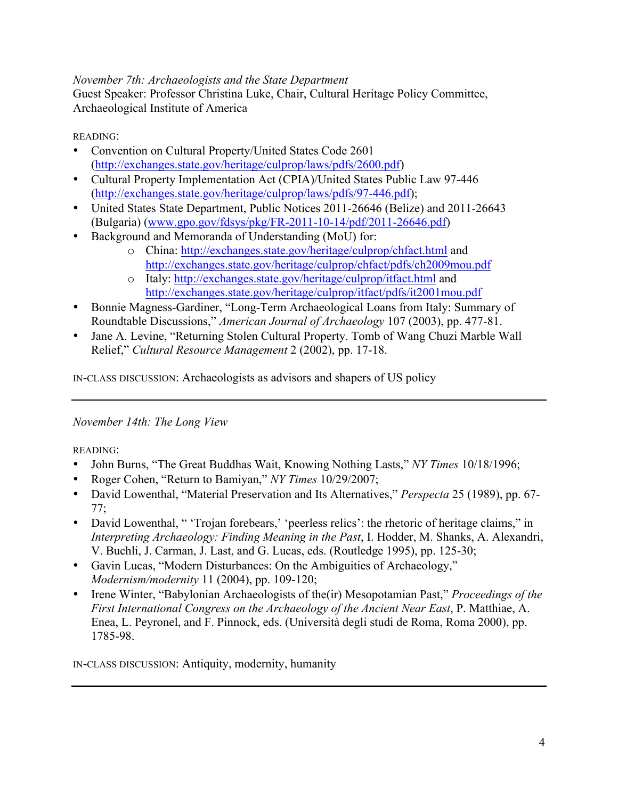## *November 7th: Archaeologists and the State Department*

Guest Speaker: Professor Christina Luke, Chair, Cultural Heritage Policy Committee, Archaeological Institute of America

READING:

- Convention on Cultural Property/United States Code 2601 (http://exchanges.state.gov/heritage/culprop/laws/pdfs/2600.pdf)
- Cultural Property Implementation Act (CPIA)/United States Public Law 97-446 (http://exchanges.state.gov/heritage/culprop/laws/pdfs/97-446.pdf);
- United States State Department, Public Notices 2011-26646 (Belize) and 2011-26643 (Bulgaria) (www.gpo.gov/fdsys/pkg/FR-2011-10-14/pdf/2011-26646.pdf)
- Background and Memoranda of Understanding (MoU) for:
	- o China: http://exchanges.state.gov/heritage/culprop/chfact.html and http://exchanges.state.gov/heritage/culprop/chfact/pdfs/ch2009mou.pdf
	- o Italy: http://exchanges.state.gov/heritage/culprop/itfact.html and http://exchanges.state.gov/heritage/culprop/itfact/pdfs/it2001mou.pdf
- Bonnie Magness-Gardiner, "Long-Term Archaeological Loans from Italy: Summary of Roundtable Discussions," *American Journal of Archaeology* 107 (2003), pp. 477-81.
- Jane A. Levine, "Returning Stolen Cultural Property. Tomb of Wang Chuzi Marble Wall Relief," *Cultural Resource Management* 2 (2002), pp. 17-18.

IN-CLASS DISCUSSION: Archaeologists as advisors and shapers of US policy

# *November 14th: The Long View*

READING:

- John Burns, "The Great Buddhas Wait, Knowing Nothing Lasts," *NY Times* 10/18/1996;
- Roger Cohen, "Return to Bamiyan," *NY Times* 10/29/2007;
- David Lowenthal, "Material Preservation and Its Alternatives," *Perspecta* 25 (1989), pp. 67- 77;
- David Lowenthal, " 'Trojan forebears,' 'peerless relics': the rhetoric of heritage claims," in *Interpreting Archaeology: Finding Meaning in the Past*, I. Hodder, M. Shanks, A. Alexandri, V. Buchli, J. Carman, J. Last, and G. Lucas, eds. (Routledge 1995), pp. 125-30;
- Gavin Lucas, "Modern Disturbances: On the Ambiguities of Archaeology," *Modernism/modernity* 11 (2004), pp. 109-120;
- Irene Winter, "Babylonian Archaeologists of the(ir) Mesopotamian Past," *Proceedings of the First International Congress on the Archaeology of the Ancient Near East*, P. Matthiae, A. Enea, L. Peyronel, and F. Pinnock, eds. (Università degli studi de Roma, Roma 2000), pp. 1785-98.

IN-CLASS DISCUSSION: Antiquity, modernity, humanity